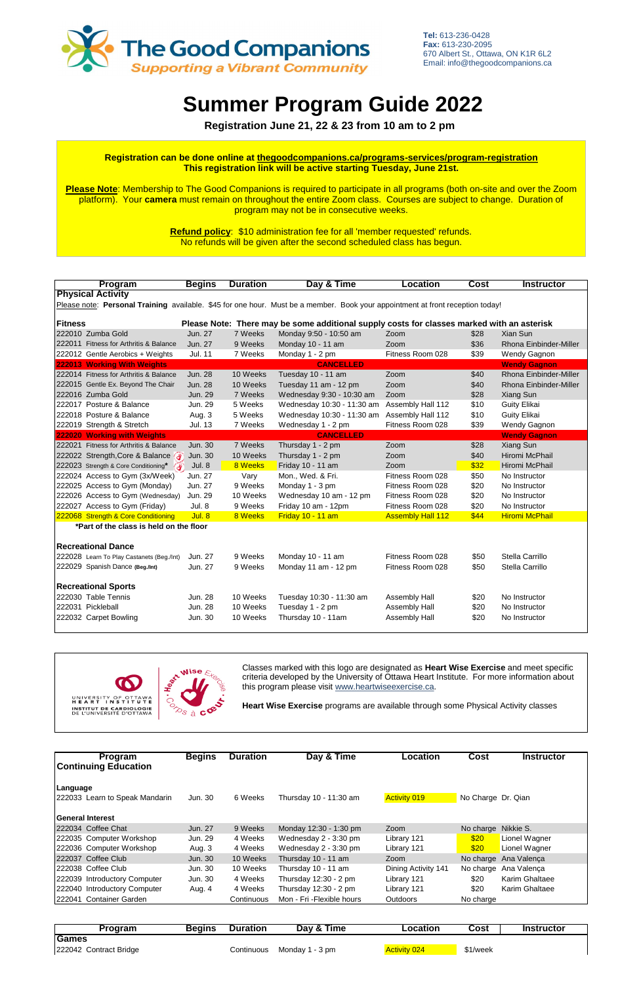|                                                                                                                                | Program                                   | <b>Begins</b>  | <b>Duration</b> | Day & Time                 | <b>Location</b>          | <b>Cost</b> | <b>Instructor</b>      |  |
|--------------------------------------------------------------------------------------------------------------------------------|-------------------------------------------|----------------|-----------------|----------------------------|--------------------------|-------------|------------------------|--|
| <b>Physical Activity</b>                                                                                                       |                                           |                |                 |                            |                          |             |                        |  |
| Please note: Personal Training available. \$45 for one hour. Must be a member. Book your appointment at front reception today! |                                           |                |                 |                            |                          |             |                        |  |
|                                                                                                                                |                                           |                |                 |                            |                          |             |                        |  |
| <b>Fitness</b><br>Please Note: There may be some additional supply costs for classes marked with an asterisk                   |                                           |                |                 |                            |                          |             |                        |  |
|                                                                                                                                | 222010 Zumba Gold                         | Jun. 27        | 7 Weeks         | Monday 9:50 - 10:50 am     | Zoom                     | \$28        | Xian Sun               |  |
|                                                                                                                                | 222011 Fitness for Arthritis & Balance    | Jun. 27        | 9 Weeks         | Monday 10 - 11 am          | Zoom                     | \$36        | Rhona Einbinder-Miller |  |
|                                                                                                                                | 222012 Gentle Aerobics + Weights          | <b>Jul. 11</b> | 7 Weeks         | Monday 1 - 2 pm            | Fitness Room 028         | \$39        | Wendy Gagnon           |  |
|                                                                                                                                | 222013 Working With Weights               |                |                 | <b>CANCELLED</b>           |                          |             | <b>Wendy Gagnon</b>    |  |
|                                                                                                                                | 222014 Fitness for Arthritis & Balance    | <b>Jun. 28</b> | 10 Weeks        | Tuesday 10 - 11 am         | Zoom                     | \$40        | Rhona Einbinder-Miller |  |
|                                                                                                                                | 222015 Gentle Ex. Beyond The Chair        | <b>Jun. 28</b> | 10 Weeks        | Tuesday 11 am - 12 pm      | Zoom                     | \$40        | Rhona Einbinder-Miller |  |
|                                                                                                                                | 222016 Zumba Gold                         | <b>Jun. 29</b> | 7 Weeks         | Wednesday 9:30 - 10:30 am  | Zoom                     | \$28        | Xiang Sun              |  |
|                                                                                                                                | 222017 Posture & Balance                  | Jun. 29        | 5 Weeks         | Wednesday 10:30 - 11:30 am | Assembly Hall 112        | \$10        | <b>Guity Elikai</b>    |  |
|                                                                                                                                | 222018 Posture & Balance                  | Aug. 3         | 5 Weeks         | Wednesday 10:30 - 11:30 am | Assembly Hall 112        | \$10        | <b>Guity Elikai</b>    |  |
|                                                                                                                                | 222019 Strength & Stretch                 | <b>Jul. 13</b> | 7 Weeks         | Wednesday 1 - 2 pm         | Fitness Room 028         | \$39        | Wendy Gagnon           |  |
|                                                                                                                                | 222020 Working with Weights               |                |                 | <b>CANCELLED</b>           |                          |             | <b>Wendy Gagnon</b>    |  |
|                                                                                                                                | 222021 Fitness for Arthritis & Balance    | <b>Jun. 30</b> | 7 Weeks         | Thursday 1 - 2 pm          | Zoom                     | \$28        | Xiang Sun              |  |
|                                                                                                                                | 222022 Strength, Core & Balance           | Jun. 30        | 10 Weeks        | Thursday 1 - 2 pm          | Zoom                     | \$40        | Hiromi McPhail         |  |
|                                                                                                                                | 222023 Strength & Core Conditioning* (4)  | Jul. 8         | 8 Weeks         | Friday 10 - 11 am          | Zoom                     | \$32        | Hiromi McPhail         |  |
|                                                                                                                                | 222024 Access to Gym (3x/Week)            | Jun. 27        | Vary            | Mon., Wed. & Fri.          | Fitness Room 028         | \$50        | No Instructor          |  |
|                                                                                                                                | 222025 Access to Gym (Monday)             | Jun. 27        | 9 Weeks         | Monday 1 - 3 pm            | Fitness Room 028         | \$20        | No Instructor          |  |
|                                                                                                                                | 222026 Access to Gym (Wednesday)          | Jun. 29        | 10 Weeks        | Wednesday 10 am - 12 pm    | Fitness Room 028         | \$20        | No Instructor          |  |
|                                                                                                                                | 222027 Access to Gym (Friday)             | Jul. 8         | 9 Weeks         | Friday 10 am - 12pm        | Fitness Room 028         | \$20        | No Instructor          |  |
|                                                                                                                                | 222068 Strength & Core Conditioning       | Jul. 8         | 8 Weeks         | Friday 10 - 11 am          | <b>Assembly Hall 112</b> | \$44        | <b>Hiromi McPhail</b>  |  |
| *Part of the class is held on the floor                                                                                        |                                           |                |                 |                            |                          |             |                        |  |
|                                                                                                                                |                                           |                |                 |                            |                          |             |                        |  |
|                                                                                                                                | <b>Recreational Dance</b>                 |                |                 |                            |                          |             |                        |  |
|                                                                                                                                | 222028 Learn To Play Castanets (Beg./Int) | Jun. 27        | 9 Weeks         | Monday 10 - 11 am          | Fitness Room 028         | \$50        | Stella Carrillo        |  |
|                                                                                                                                | 222029 Spanish Dance (Beg./Int)           | Jun. 27        | 9 Weeks         | Monday 11 am - 12 pm       | Fitness Room 028         | \$50        | Stella Carrillo        |  |
| <b>Recreational Sports</b>                                                                                                     |                                           |                |                 |                            |                          |             |                        |  |
|                                                                                                                                | 222030 Table Tennis                       | Jun. 28        | 10 Weeks        | Tuesday 10:30 - 11:30 am   | Assembly Hall            | \$20        | No Instructor          |  |
|                                                                                                                                | 222031 Pickleball                         | Jun. 28        | 10 Weeks        | Tuesday 1 - 2 pm           | Assembly Hall            | \$20        | No Instructor          |  |
|                                                                                                                                | 222032 Carpet Bowling                     | Jun. 30        | 10 Weeks        | Thursday 10 - 11am         | <b>Assembly Hall</b>     | \$20        | No Instructor          |  |
|                                                                                                                                |                                           |                |                 |                            |                          |             |                        |  |



| Program<br><b>Continuing Education</b> | <b>Begins</b> | <b>Duration</b> | Day & Time                 | <b>Location</b>     | Cost               | <b>Instructor</b>     |
|----------------------------------------|---------------|-----------------|----------------------------|---------------------|--------------------|-----------------------|
| Language                               |               |                 |                            |                     |                    |                       |
| 222033 Learn to Speak Mandarin         | Jun. 30       | 6 Weeks         | Thursday 10 - 11:30 am     | <b>Activity 019</b> | No Charge Dr. Qian |                       |
| <b>General Interest</b>                |               |                 |                            |                     |                    |                       |
| 222034 Coffee Chat                     | Jun. 27       | 9 Weeks         | Monday 12:30 - 1:30 pm     | Zoom                | No charge          | Nikkie S.             |
| 222035 Computer Workshop               | Jun. 29       | 4 Weeks         | Wednesday 2 - 3:30 pm      | Library 121         | \$20               | Lionel Wagner         |
| 222036 Computer Workshop               | Aug. 3        | 4 Weeks         | Wednesday 2 - 3:30 pm      | Library 121         | \$20               | Lionel Wagner         |
| 222037 Coffee Club                     | Jun. 30       | 10 Weeks        | Thursday 10 - 11 am        | Zoom                | No charge          | Ana Valença           |
| 222038 Coffee Club                     | Jun. 30       | 10 Weeks        | Thursday 10 - 11 am        | Dining Activity 141 | No charge          | Ana Valença           |
| 222039 Introductory Computer           | Jun. 30       | 4 Weeks         | Thursday 12:30 - 2 pm      | Library 121         | \$20               | Karim Ghaltaee        |
| 222040 Introductory Computer           | Aug. 4        | 4 Weeks         | Thursday $12:30 - 2$ pm    | Library 121         | \$20               | <b>Karim Ghaltaee</b> |
| <b>Container Garden</b><br>222041      |               | Continuous      | Mon - Fri - Flexible hours | <b>Outdoors</b>     | No charge          |                       |

| Program                | Beains | Duration   | Day & Time      | ∟ocation            | Cost     | <b>Instructor</b> |
|------------------------|--------|------------|-----------------|---------------------|----------|-------------------|
| <b>Games</b>           |        |            |                 |                     |          |                   |
| 222042 Contract Bridge |        | Continuous | Monday 1 - 3 pm | <b>Activity 024</b> | \$1/week |                   |

# **Summer Program Guide 2022**

 **Registration June 21, 22 & 23 from 10 am to 2 pm**

Classes marked with this logo are designated as **Heart Wise Exercise** and meet specific criteria developed by the University of Ottawa Heart Institute. For more information about this program please visit www.heartwiseexercise.ca.

**Heart Wise Exercise** programs are available through some Physical Activity classes



## **Registration can be done online at thegoodcompanions.ca/programs-services/program-registration This registration link will be active starting Tuesday, June 21st.**

**Please Note**: Membership to The Good Companions is required to participate in all programs (both on-site and over the Zoom platform). Your **camera** must remain on throughout the entire Zoom class. Courses are subject to change. Duration of program may not be in consecutive weeks.

> **Refund policy**: \$10 administration fee for all 'member requested' refunds. No refunds will be given after the second scheduled class has begun.